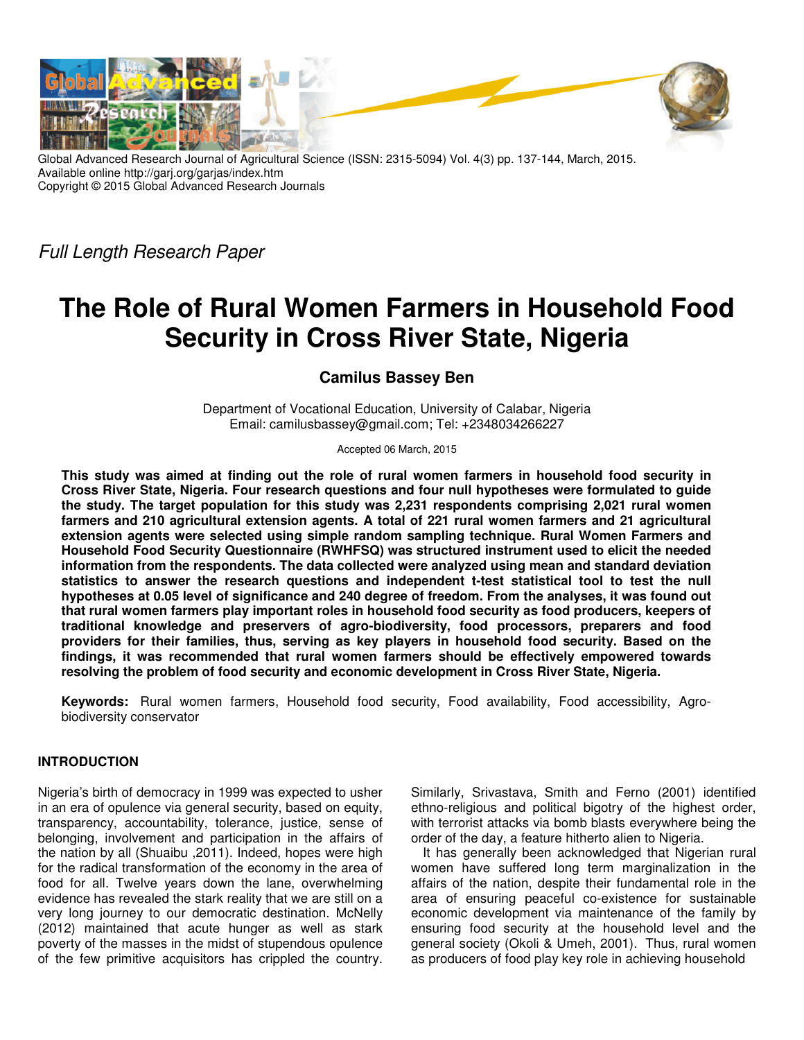

Global Advanced Research Journal of Agricultural Science (ISSN: 2315-5094) Vol. 4(3) pp. 137-144, March, 2015. Available online http://garj.org/garjas/index.htm Copyright © 2015 Global Advanced Research Journals

*Full Length Research Paper*

# **The Role of Rural Women Farmers in Household Food Security in Cross River State, Nigeria**

**Camilus Bassey Ben** 

Department of Vocational Education, University of Calabar, Nigeria Email: camilusbassey@gmail.com; Tel: +2348034266227

Accepted 06 March, 2015

**This study was aimed at finding out the role of rural women farmers in household food security in Cross River State, Nigeria. Four research questions and four null hypotheses were formulated to guide the study. The target population for this study was 2,231 respondents comprising 2,021 rural women farmers and 210 agricultural extension agents. A total of 221 rural women farmers and 21 agricultural extension agents were selected using simple random sampling technique. Rural Women Farmers and Household Food Security Questionnaire (RWHFSQ) was structured instrument used to elicit the needed information from the respondents. The data collected were analyzed using mean and standard deviation statistics to answer the research questions and independent t-test statistical tool to test the null hypotheses at 0.05 level of significance and 240 degree of freedom. From the analyses, it was found out that rural women farmers play important roles in household food security as food producers, keepers of traditional knowledge and preservers of agro-biodiversity, food processors, preparers and food providers for their families, thus, serving as key players in household food security. Based on the findings, it was recommended that rural women farmers should be effectively empowered towards resolving the problem of food security and economic development in Cross River State, Nigeria.** 

**Keywords:** Rural women farmers, Household food security, Food availability, Food accessibility, Agrobiodiversity conservator

## **INTRODUCTION**

Nigeria's birth of democracy in 1999 was expected to usher in an era of opulence via general security, based on equity, transparency, accountability, tolerance, justice, sense of belonging, involvement and participation in the affairs of the nation by all (Shuaibu ,2011). Indeed, hopes were high for the radical transformation of the economy in the area of food for all. Twelve years down the lane, overwhelming evidence has revealed the stark reality that we are still on a very long journey to our democratic destination. McNelly (2012) maintained that acute hunger as well as stark poverty of the masses in the midst of stupendous opulence of the few primitive acquisitors has crippled the country.

Similarly, Srivastava, Smith and Ferno (2001) identified ethno-religious and political bigotry of the highest order, with terrorist attacks via bomb blasts everywhere being the order of the day, a feature hitherto alien to Nigeria.

It has generally been acknowledged that Nigerian rural women have suffered long term marginalization in the affairs of the nation, despite their fundamental role in the area of ensuring peaceful co-existence for sustainable economic development via maintenance of the family by ensuring food security at the household level and the general society (Okoli & Umeh, 2001). Thus, rural women as producers of food play key role in achieving household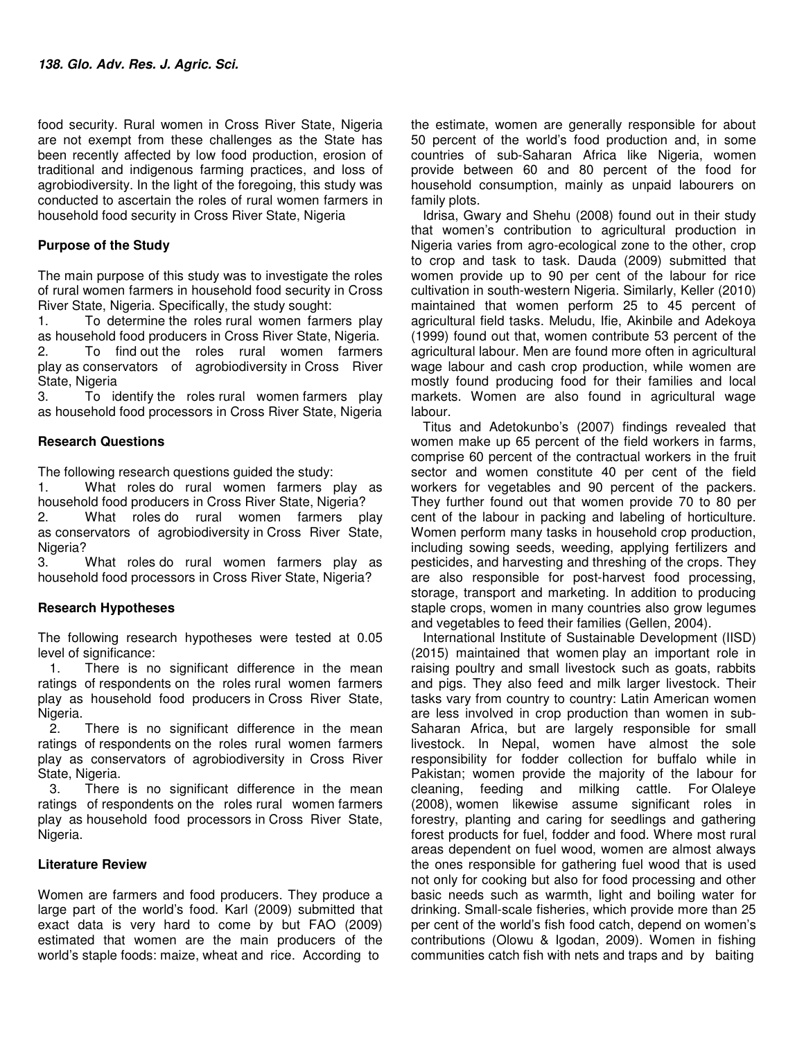food security. Rural women in Cross River State, Nigeria are not exempt from these challenges as the State has been recently affected by low food production, erosion of traditional and indigenous farming practices, and loss of agrobiodiversity. In the light of the foregoing, this study was conducted to ascertain the roles of rural women farmers in household food security in Cross River State, Nigeria

## **Purpose of the Study**

The main purpose of this study was to investigate the roles of rural women farmers in household food security in Cross River State, Nigeria. Specifically, the study sought:

1. To determine the roles rural women farmers play as household food producers in Cross River State, Nigeria. 2. To find out the roles rural women farmers play as conservators of agrobiodiversity in Cross River State, Nigeria

3. To identify the roles rural women farmers play as household food processors in Cross River State, Nigeria

## **Research Questions**

The following research questions guided the study:

1. What roles do rural women farmers play as household food producers in Cross River State, Nigeria? 2. What roles do rural women farmers play as conservators of agrobiodiversity in Cross River State, Nigeria?

3. What roles do rural women farmers play as household food processors in Cross River State, Nigeria?

## **Research Hypotheses**

The following research hypotheses were tested at 0.05 level of significance:

1. There is no significant difference in the mean ratings of respondents on the roles rural women farmers play as household food producers in Cross River State, Nigeria.<br>2.

There is no significant difference in the mean ratings of respondents on the roles rural women farmers play as conservators of agrobiodiversity in Cross River State, Nigeria.

3. There is no significant difference in the mean ratings of respondents on the roles rural women farmers play as household food processors in Cross River State, Nigeria.

### **Literature Review**

Women are farmers and food producers. They produce a large part of the world's food. Karl (2009) submitted that exact data is very hard to come by but FAO (2009) estimated that women are the main producers of the world's staple foods: maize, wheat and rice. According to

the estimate, women are generally responsible for about 50 percent of the world's food production and, in some countries of sub-Saharan Africa like Nigeria, women provide between 60 and 80 percent of the food for household consumption, mainly as unpaid labourers on family plots.

Idrisa, Gwary and Shehu (2008) found out in their study that women's contribution to agricultural production in Nigeria varies from agro-ecological zone to the other, crop to crop and task to task. Dauda (2009) submitted that women provide up to 90 per cent of the labour for rice cultivation in south-western Nigeria. Similarly, Keller (2010) maintained that women perform 25 to 45 percent of agricultural field tasks. Meludu, Ifie, Akinbile and Adekoya (1999) found out that, women contribute 53 percent of the agricultural labour. Men are found more often in agricultural wage labour and cash crop production, while women are mostly found producing food for their families and local markets. Women are also found in agricultural wage labour.

Titus and Adetokunbo's (2007) findings revealed that women make up 65 percent of the field workers in farms, comprise 60 percent of the contractual workers in the fruit sector and women constitute 40 per cent of the field workers for vegetables and 90 percent of the packers. They further found out that women provide 70 to 80 per cent of the labour in packing and labeling of horticulture. Women perform many tasks in household crop production, including sowing seeds, weeding, applying fertilizers and pesticides, and harvesting and threshing of the crops. They are also responsible for post-harvest food processing, storage, transport and marketing. In addition to producing staple crops, women in many countries also grow legumes and vegetables to feed their families (Gellen, 2004).

International Institute of Sustainable Development (IISD) (2015) maintained that women play an important role in raising poultry and small livestock such as goats, rabbits and pigs. They also feed and milk larger livestock. Their tasks vary from country to country: Latin American women are less involved in crop production than women in sub-Saharan Africa, but are largely responsible for small livestock. In Nepal, women have almost the sole responsibility for fodder collection for buffalo while in Pakistan; women provide the majority of the labour for cleaning, feeding and milking cattle. For Olaleye (2008), women likewise assume significant roles in forestry, planting and caring for seedlings and gathering forest products for fuel, fodder and food. Where most rural areas dependent on fuel wood, women are almost always the ones responsible for gathering fuel wood that is used not only for cooking but also for food processing and other basic needs such as warmth, light and boiling water for drinking. Small-scale fisheries, which provide more than 25 per cent of the world's fish food catch, depend on women's contributions (Olowu & Igodan, 2009). Women in fishing communities catch fish with nets and traps and by baiting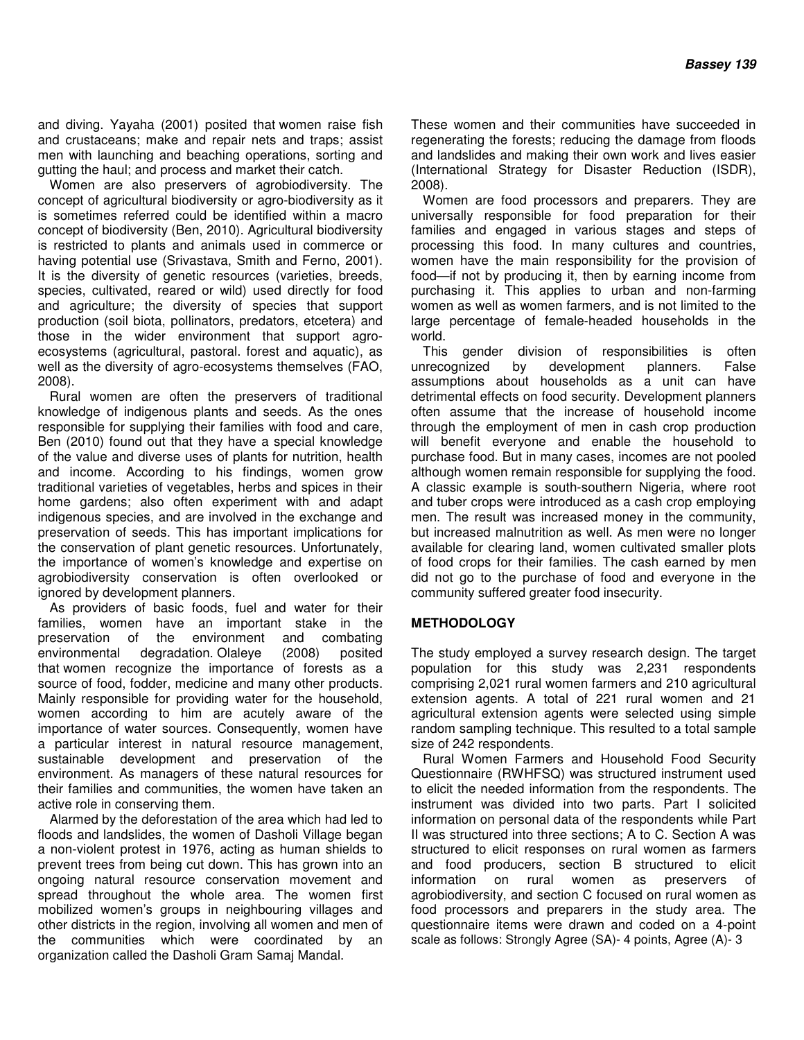and diving. Yayaha (2001) posited that women raise fish and crustaceans; make and repair nets and traps; assist men with launching and beaching operations, sorting and gutting the haul; and process and market their catch.

Women are also preservers of agrobiodiversity. The concept of agricultural biodiversity or agro-biodiversity as it is sometimes referred could be identified within a macro concept of biodiversity (Ben, 2010). Agricultural biodiversity is restricted to plants and animals used in commerce or having potential use (Srivastava, Smith and Ferno, 2001). It is the diversity of genetic resources (varieties, breeds, species, cultivated, reared or wild) used directly for food and agriculture; the diversity of species that support production (soil biota, pollinators, predators, etcetera) and those in the wider environment that support agroecosystems (agricultural, pastoral. forest and aquatic), as well as the diversity of agro-ecosystems themselves (FAO, 2008).

Rural women are often the preservers of traditional knowledge of indigenous plants and seeds. As the ones responsible for supplying their families with food and care, Ben (2010) found out that they have a special knowledge of the value and diverse uses of plants for nutrition, health and income. According to his findings, women grow traditional varieties of vegetables, herbs and spices in their home gardens; also often experiment with and adapt indigenous species, and are involved in the exchange and preservation of seeds. This has important implications for the conservation of plant genetic resources. Unfortunately, the importance of women's knowledge and expertise on agrobiodiversity conservation is often overlooked or ignored by development planners.

As providers of basic foods, fuel and water for their families, women have an important stake in the preservation of the environment and combating environmental degradation. Olaleye (2008) posited that women recognize the importance of forests as a source of food, fodder, medicine and many other products. Mainly responsible for providing water for the household, women according to him are acutely aware of the importance of water sources. Consequently, women have a particular interest in natural resource management, sustainable development and preservation of the environment. As managers of these natural resources for their families and communities, the women have taken an active role in conserving them.

Alarmed by the deforestation of the area which had led to floods and landslides, the women of Dasholi Village began a non-violent protest in 1976, acting as human shields to prevent trees from being cut down. This has grown into an ongoing natural resource conservation movement and spread throughout the whole area. The women first mobilized women's groups in neighbouring villages and other districts in the region, involving all women and men of the communities which were coordinated by an organization called the Dasholi Gram Samaj Mandal.

These women and their communities have succeeded in regenerating the forests; reducing the damage from floods and landslides and making their own work and lives easier (International Strategy for Disaster Reduction (ISDR), 2008).

Women are food processors and preparers. They are universally responsible for food preparation for their families and engaged in various stages and steps of processing this food. In many cultures and countries, women have the main responsibility for the provision of food—if not by producing it, then by earning income from purchasing it. This applies to urban and non-farming women as well as women farmers, and is not limited to the large percentage of female-headed households in the world.

This gender division of responsibilities is often unrecognized by development planners. False assumptions about households as a unit can have detrimental effects on food security. Development planners often assume that the increase of household income through the employment of men in cash crop production will benefit everyone and enable the household to purchase food. But in many cases, incomes are not pooled although women remain responsible for supplying the food. A classic example is south-southern Nigeria, where root and tuber crops were introduced as a cash crop employing men. The result was increased money in the community, but increased malnutrition as well. As men were no longer available for clearing land, women cultivated smaller plots of food crops for their families. The cash earned by men did not go to the purchase of food and everyone in the community suffered greater food insecurity.

## **METHODOLOGY**

The study employed a survey research design. The target population for this study was 2,231 respondents comprising 2,021 rural women farmers and 210 agricultural extension agents. A total of 221 rural women and 21 agricultural extension agents were selected using simple random sampling technique. This resulted to a total sample size of 242 respondents.

Rural Women Farmers and Household Food Security Questionnaire (RWHFSQ) was structured instrument used to elicit the needed information from the respondents. The instrument was divided into two parts. Part I solicited information on personal data of the respondents while Part II was structured into three sections; A to C. Section A was structured to elicit responses on rural women as farmers and food producers, section B structured to elicit information on rural women as preservers of agrobiodiversity, and section C focused on rural women as food processors and preparers in the study area. The questionnaire items were drawn and coded on a 4-point scale as follows: Strongly Agree (SA)- 4 points, Agree (A)- 3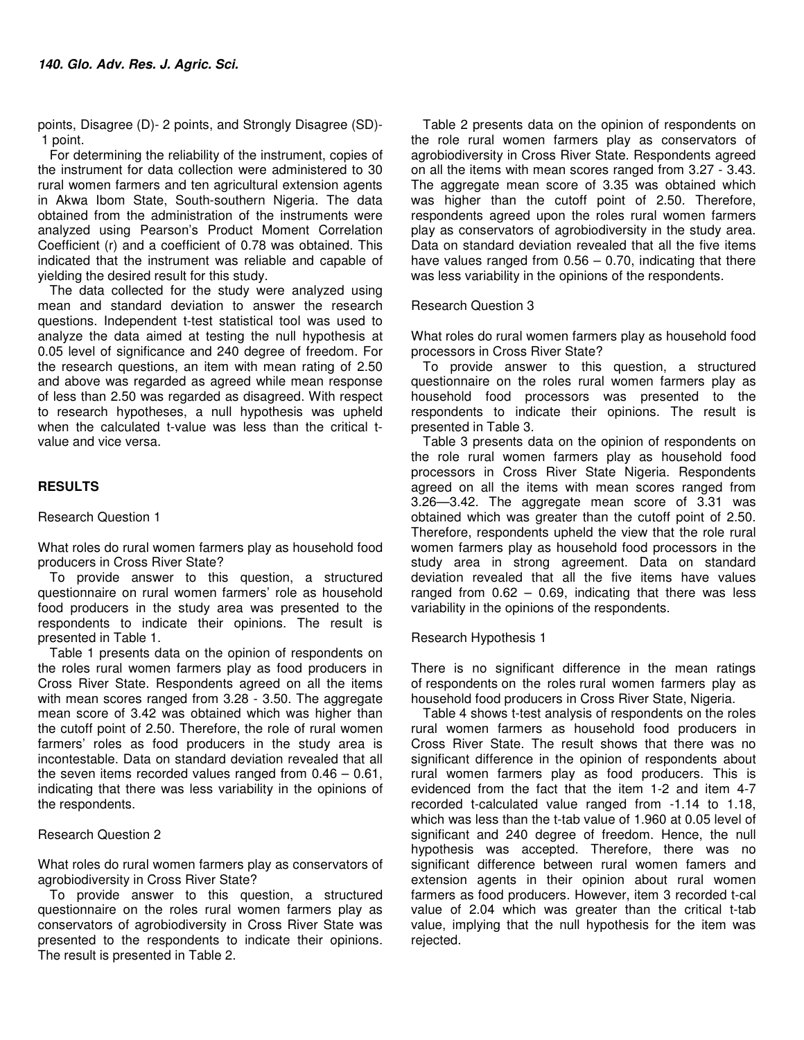points, Disagree (D)- 2 points, and Strongly Disagree (SD)- 1 point.

For determining the reliability of the instrument, copies of the instrument for data collection were administered to 30 rural women farmers and ten agricultural extension agents in Akwa Ibom State, South-southern Nigeria. The data obtained from the administration of the instruments were analyzed using Pearson's Product Moment Correlation Coefficient (r) and a coefficient of 0.78 was obtained. This indicated that the instrument was reliable and capable of yielding the desired result for this study.

The data collected for the study were analyzed using mean and standard deviation to answer the research questions. Independent t-test statistical tool was used to analyze the data aimed at testing the null hypothesis at 0.05 level of significance and 240 degree of freedom. For the research questions, an item with mean rating of 2.50 and above was regarded as agreed while mean response of less than 2.50 was regarded as disagreed. With respect to research hypotheses, a null hypothesis was upheld when the calculated t-value was less than the critical tvalue and vice versa.

## **RESULTS**

Research Question 1

What roles do rural women farmers play as household food producers in Cross River State?

To provide answer to this question, a structured questionnaire on rural women farmers' role as household food producers in the study area was presented to the respondents to indicate their opinions. The result is presented in Table 1.

Table 1 presents data on the opinion of respondents on the roles rural women farmers play as food producers in Cross River State. Respondents agreed on all the items with mean scores ranged from 3.28 - 3.50. The aggregate mean score of 3.42 was obtained which was higher than the cutoff point of 2.50. Therefore, the role of rural women farmers' roles as food producers in the study area is incontestable. Data on standard deviation revealed that all the seven items recorded values ranged from 0.46 – 0.61, indicating that there was less variability in the opinions of the respondents.

## Research Question 2

What roles do rural women farmers play as conservators of agrobiodiversity in Cross River State?

To provide answer to this question, a structured questionnaire on the roles rural women farmers play as conservators of agrobiodiversity in Cross River State was presented to the respondents to indicate their opinions. The result is presented in Table 2.

Table 2 presents data on the opinion of respondents on the role rural women farmers play as conservators of agrobiodiversity in Cross River State. Respondents agreed on all the items with mean scores ranged from 3.27 - 3.43. The aggregate mean score of 3.35 was obtained which was higher than the cutoff point of 2.50. Therefore, respondents agreed upon the roles rural women farmers play as conservators of agrobiodiversity in the study area. Data on standard deviation revealed that all the five items have values ranged from  $0.56 - 0.70$ , indicating that there was less variability in the opinions of the respondents.

### Research Question 3

What roles do rural women farmers play as household food processors in Cross River State?

To provide answer to this question, a structured questionnaire on the roles rural women farmers play as household food processors was presented to the respondents to indicate their opinions. The result is presented in Table 3.

Table 3 presents data on the opinion of respondents on the role rural women farmers play as household food processors in Cross River State Nigeria. Respondents agreed on all the items with mean scores ranged from 3.26—3.42. The aggregate mean score of 3.31 was obtained which was greater than the cutoff point of 2.50. Therefore, respondents upheld the view that the role rural women farmers play as household food processors in the study area in strong agreement. Data on standard deviation revealed that all the five items have values ranged from  $0.62 - 0.69$ , indicating that there was less variability in the opinions of the respondents.

#### Research Hypothesis 1

There is no significant difference in the mean ratings of respondents on the roles rural women farmers play as household food producers in Cross River State, Nigeria.

Table 4 shows t-test analysis of respondents on the roles rural women farmers as household food producers in Cross River State. The result shows that there was no significant difference in the opinion of respondents about rural women farmers play as food producers. This is evidenced from the fact that the item 1-2 and item 4-7 recorded t-calculated value ranged from -1.14 to 1.18, which was less than the t-tab value of 1.960 at 0.05 level of significant and 240 degree of freedom. Hence, the null hypothesis was accepted. Therefore, there was no significant difference between rural women famers and extension agents in their opinion about rural women farmers as food producers. However, item 3 recorded t-cal value of 2.04 which was greater than the critical t-tab value, implying that the null hypothesis for the item was rejected.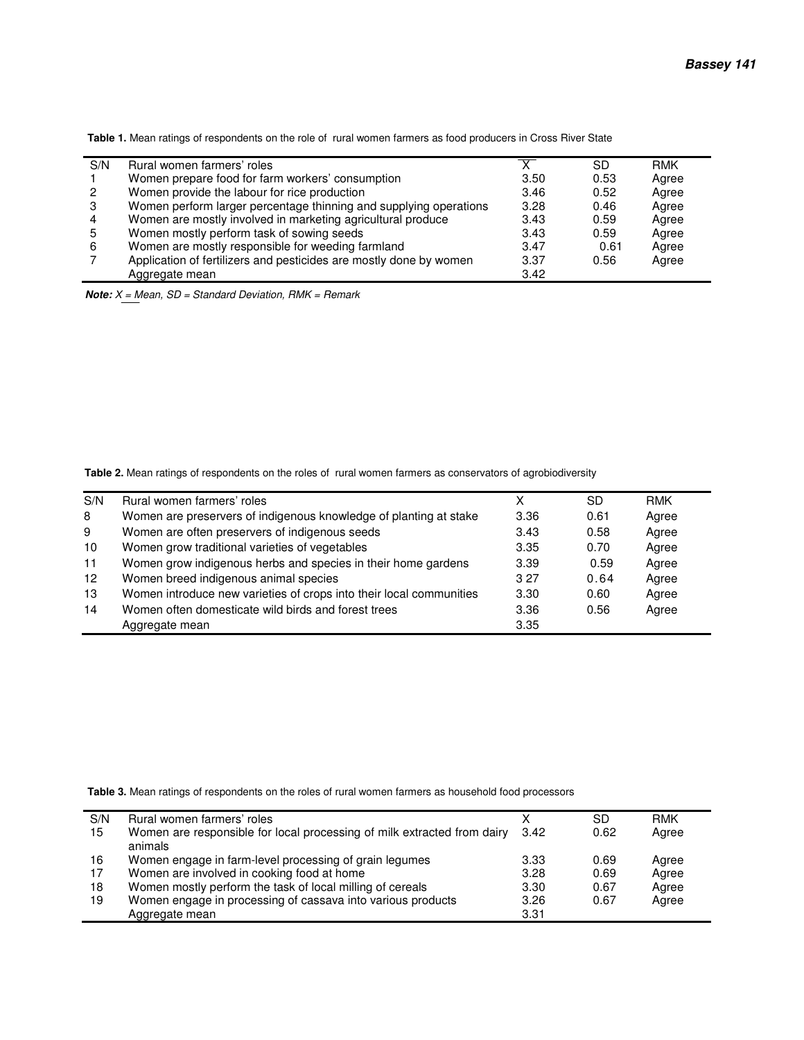**Table 1.** Mean ratings of respondents on the role of rural women farmers as food producers in Cross River State

| S/N            | Rural women farmers' roles                                         |      | SD   | <b>RMK</b> |
|----------------|--------------------------------------------------------------------|------|------|------------|
|                | Women prepare food for farm workers' consumption                   | 3.50 | 0.53 | Agree      |
| 2              | Women provide the labour for rice production                       | 3.46 | 0.52 | Agree      |
| -3             | Women perform larger percentage thinning and supplying operations  | 3.28 | 0.46 | Agree      |
| $\overline{4}$ | Women are mostly involved in marketing agricultural produce        | 3.43 | 0.59 | Agree      |
| 5              | Women mostly perform task of sowing seeds                          | 3.43 | 0.59 | Agree      |
| 6              | Women are mostly responsible for weeding farmland                  | 3.47 | 0.61 | Agree      |
|                | Application of fertilizers and pesticides are mostly done by women | 3.37 | 0.56 | Agree      |
|                | Aggregate mean                                                     | 3.42 |      |            |

*Note: X = Mean, SD = Standard Deviation, RMK = Remark*

 **Table 2.** Mean ratings of respondents on the roles of rural women farmers as conservators of agrobiodiversity

| S/N               | Rural women farmers' roles                                          | Χ    | SD.  | <b>RMK</b> |  |
|-------------------|---------------------------------------------------------------------|------|------|------------|--|
| 8                 | Women are preservers of indigenous knowledge of planting at stake   | 3.36 | 0.61 | Agree      |  |
| 9                 | Women are often preservers of indigenous seeds                      | 3.43 | 0.58 | Agree      |  |
| 10                | Women grow traditional varieties of vegetables                      | 3.35 | 0.70 | Agree      |  |
| 11                | Women grow indigenous herbs and species in their home gardens       | 3.39 | 0.59 | Agree      |  |
| $12 \overline{ }$ | Women breed indigenous animal species                               | 3.27 | 0.64 | Agree      |  |
| 13                | Women introduce new varieties of crops into their local communities | 3.30 | 0.60 | Agree      |  |
| 14                | Women often domesticate wild birds and forest trees                 | 3.36 | 0.56 | Agree      |  |
|                   | Aggregate mean                                                      | 3.35 |      |            |  |

 **Table 3.** Mean ratings of respondents on the roles of rural women farmers as household food processors

| S/N | Rural women farmers' roles                                                         |      | SD   | <b>RMK</b> |
|-----|------------------------------------------------------------------------------------|------|------|------------|
| 15  | Women are responsible for local processing of milk extracted from dairy<br>animals | 3.42 | 0.62 | Agree      |
| 16  | Women engage in farm-level processing of grain legumes                             | 3.33 | 0.69 | Agree      |
| 17  | Women are involved in cooking food at home                                         | 3.28 | 0.69 | Agree      |
| 18  | Women mostly perform the task of local milling of cereals                          | 3.30 | 0.67 | Agree      |
| 19  | Women engage in processing of cassava into various products                        | 3.26 | 0.67 | Agree      |
|     | Aggregate mean                                                                     | 3.31 |      |            |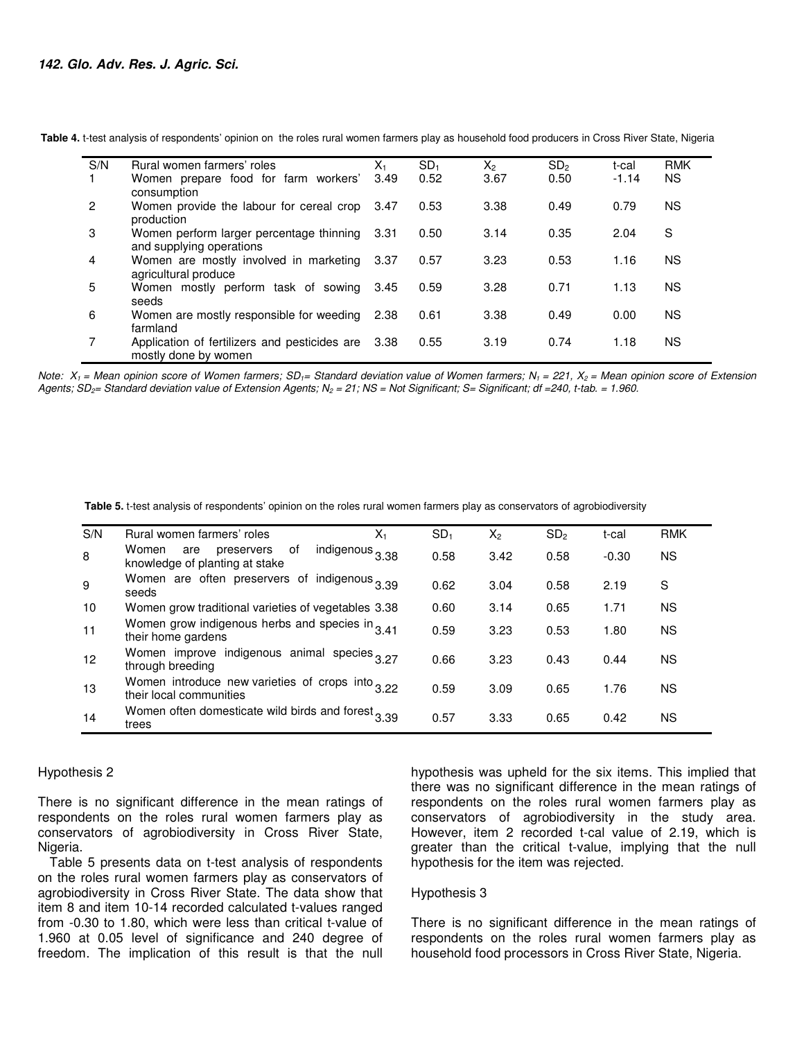| S/N            | Rural women farmers' roles                                                 | $X_{1}$ | SD <sub>1</sub> | $X_{2}$ | SD <sub>2</sub> | t-cal   | <b>RMK</b> |
|----------------|----------------------------------------------------------------------------|---------|-----------------|---------|-----------------|---------|------------|
|                | Women prepare food for farm workers'<br>consumption                        | 3.49    | 0.52            | 3.67    | 0.50            | $-1.14$ | <b>NS</b>  |
| $\overline{2}$ | Women provide the labour for cereal crop 3.47<br>production                |         | 0.53            | 3.38    | 0.49            | 0.79    | <b>NS</b>  |
| 3              | Women perform larger percentage thinning<br>and supplying operations       | -3.31   | 0.50            | 3.14    | 0.35            | 2.04    | S          |
| 4              | Women are mostly involved in marketing 3.37<br>agricultural produce        |         | 0.57            | 3.23    | 0.53            | 1.16    | <b>NS</b>  |
| 5              | Women mostly perform task of sowing<br>seeds                               | 3.45    | 0.59            | 3.28    | 0.71            | 1.13    | <b>NS</b>  |
| 6              | Women are mostly responsible for weeding<br>farmland                       | 2.38    | 0.61            | 3.38    | 0.49            | 0.00    | <b>NS</b>  |
|                | Application of fertilizers and pesticides are 3.38<br>mostly done by women |         | 0.55            | 3.19    | 0.74            | 1.18    | <b>NS</b>  |

 **Table 4.** t-test analysis of respondents' opinion on the roles rural women farmers play as household food producers in Cross River State, Nigeria

*Note: X1 = Mean opinion score of Women farmers; SD1= Standard deviation value of Women farmers; N1 = 221, X2 = Mean opinion score of Extension Agents; SD2= Standard deviation value of Extension Agents; N2 = 21; NS = Not Significant; S= Significant; df =240, t-tab. = 1.960.*

 **Table 5.** t-test analysis of respondents' opinion on the roles rural women farmers play as conservators of agrobiodiversity

| S/N | Rural women farmers' roles                                                    | X1              | SD <sub>1</sub> | $X_2$ | SD <sub>2</sub> | t-cal   | <b>RMK</b> |
|-----|-------------------------------------------------------------------------------|-----------------|-----------------|-------|-----------------|---------|------------|
| 8   | Women<br>preservers<br>οf<br>are<br>knowledge of planting at stake            | indigenous 3.38 | 0.58            | 3.42  | 0.58            | $-0.30$ | <b>NS</b>  |
| 9   | Women are often preservers of indigenous 3.39<br>seeds                        |                 | 0.62            | 3.04  | 0.58            | 2.19    | S          |
| 10  | Women grow traditional varieties of vegetables 3.38                           |                 | 0.60            | 3.14  | 0.65            | 1.71    | <b>NS</b>  |
| 11  | Women grow indigenous herbs and species in 3.41<br>their home gardens         |                 | 0.59            | 3.23  | 0.53            | 1.80    | <b>NS</b>  |
| 12  | Women improve indigenous animal species 3.27<br>through breeding              |                 | 0.66            | 3.23  | 0.43            | 0.44    | <b>NS</b>  |
| 13  | Women introduce new varieties of crops into $3.22$<br>their local communities |                 | 0.59            | 3.09  | 0.65            | 1.76    | <b>NS</b>  |
| 14  | Women often domesticate wild birds and forest 3.39<br>trees                   |                 | 0.57            | 3.33  | 0.65            | 0.42    | <b>NS</b>  |

#### Hypothesis 2

There is no significant difference in the mean ratings of respondents on the roles rural women farmers play as conservators of agrobiodiversity in Cross River State, Nigeria.

Table 5 presents data on t-test analysis of respondents on the roles rural women farmers play as conservators of agrobiodiversity in Cross River State. The data show that item 8 and item 10-14 recorded calculated t-values ranged from -0.30 to 1.80, which were less than critical t-value of 1.960 at 0.05 level of significance and 240 degree of freedom. The implication of this result is that the null

hypothesis was upheld for the six items. This implied that there was no significant difference in the mean ratings of respondents on the roles rural women farmers play as conservators of agrobiodiversity in the study area. However, item 2 recorded t-cal value of 2.19, which is greater than the critical t-value, implying that the null hypothesis for the item was rejected.

#### Hypothesis 3

There is no significant difference in the mean ratings of respondents on the roles rural women farmers play as household food processors in Cross River State, Nigeria.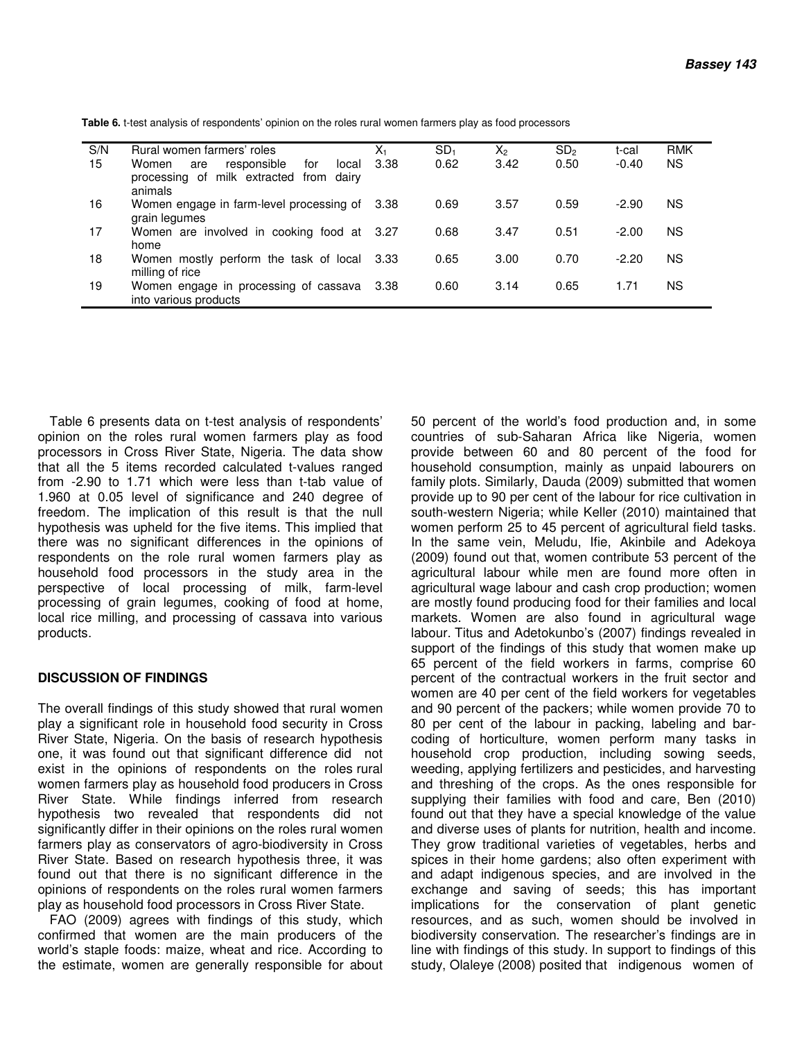| S/N | Rural women farmers' roles                                                                        | χ,    | SD <sub>1</sub> | Х,   | SD <sub>2</sub> | t-cal   | <b>RMK</b> |
|-----|---------------------------------------------------------------------------------------------------|-------|-----------------|------|-----------------|---------|------------|
| 15  | responsible<br>Women<br>for<br>local<br>are<br>processing of milk extracted from dairy<br>animals | -3.38 | 0.62            | 3.42 | 0.50            | $-0.40$ | <b>NS</b>  |
| 16  | Women engage in farm-level processing of 3.38<br>grain legumes                                    |       | 0.69            | 3.57 | 0.59            | $-2.90$ | ΝS         |
| 17  | Women are involved in cooking food at 3.27<br>home                                                |       | 0.68            | 3.47 | 0.51            | $-2.00$ | ΝS         |
| 18  | Women mostly perform the task of local 3.33<br>milling of rice                                    |       | 0.65            | 3.00 | 0.70            | $-2.20$ | ΝS         |
| 19  | Women engage in processing of cassava 3.38<br>into various products                               |       | 0.60            | 3.14 | 0.65            | 1.71    | ΝS         |

 **Table 6.** t-test analysis of respondents' opinion on the roles rural women farmers play as food processors

Table 6 presents data on t-test analysis of respondents' opinion on the roles rural women farmers play as food processors in Cross River State, Nigeria. The data show that all the 5 items recorded calculated t-values ranged from -2.90 to 1.71 which were less than t-tab value of 1.960 at 0.05 level of significance and 240 degree of freedom. The implication of this result is that the null hypothesis was upheld for the five items. This implied that there was no significant differences in the opinions of respondents on the role rural women farmers play as household food processors in the study area in the perspective of local processing of milk, farm-level processing of grain legumes, cooking of food at home, local rice milling, and processing of cassava into various products.

## **DISCUSSION OF FINDINGS**

The overall findings of this study showed that rural women play a significant role in household food security in Cross River State, Nigeria. On the basis of research hypothesis one, it was found out that significant difference did not exist in the opinions of respondents on the roles rural women farmers play as household food producers in Cross River State. While findings inferred from research hypothesis two revealed that respondents did not significantly differ in their opinions on the roles rural women farmers play as conservators of agro-biodiversity in Cross River State. Based on research hypothesis three, it was found out that there is no significant difference in the opinions of respondents on the roles rural women farmers play as household food processors in Cross River State.

FAO (2009) agrees with findings of this study, which confirmed that women are the main producers of the world's staple foods: maize, wheat and rice. According to the estimate, women are generally responsible for about

50 percent of the world's food production and, in some countries of sub-Saharan Africa like Nigeria, women provide between 60 and 80 percent of the food for household consumption, mainly as unpaid labourers on family plots. Similarly, Dauda (2009) submitted that women provide up to 90 per cent of the labour for rice cultivation in south-western Nigeria; while Keller (2010) maintained that women perform 25 to 45 percent of agricultural field tasks. In the same vein, Meludu, Ifie, Akinbile and Adekoya (2009) found out that, women contribute 53 percent of the agricultural labour while men are found more often in agricultural wage labour and cash crop production; women are mostly found producing food for their families and local markets. Women are also found in agricultural wage labour. Titus and Adetokunbo's (2007) findings revealed in support of the findings of this study that women make up 65 percent of the field workers in farms, comprise 60 percent of the contractual workers in the fruit sector and women are 40 per cent of the field workers for vegetables and 90 percent of the packers; while women provide 70 to 80 per cent of the labour in packing, labeling and barcoding of horticulture, women perform many tasks in household crop production, including sowing seeds, weeding, applying fertilizers and pesticides, and harvesting and threshing of the crops. As the ones responsible for supplying their families with food and care, Ben (2010) found out that they have a special knowledge of the value and diverse uses of plants for nutrition, health and income. They grow traditional varieties of vegetables, herbs and spices in their home gardens; also often experiment with and adapt indigenous species, and are involved in the exchange and saving of seeds; this has important implications for the conservation of plant genetic resources, and as such, women should be involved in biodiversity conservation. The researcher's findings are in line with findings of this study. In support to findings of this study, Olaleye (2008) posited that indigenous women of